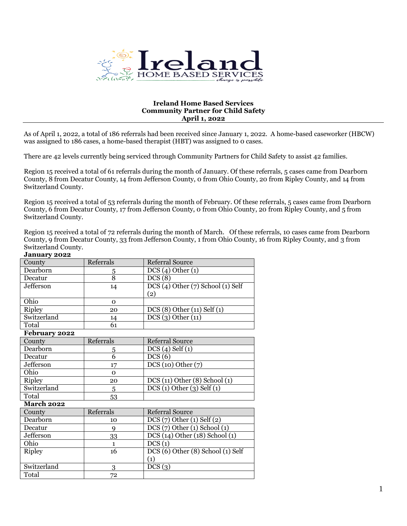

## **Ireland Home Based Services Community Partner for Child Safety April 1, 2022**

As of April 1, 2022, a total of 186 referrals had been received since January 1, 2022. A home-based caseworker (HBCW) was assigned to 186 cases, a home-based therapist (HBT) was assigned to 0 cases.

There are 42 levels currently being serviced through Community Partners for Child Safety to assist 42 families.

Region 15 received a total of 61 referrals during the month of January. Of these referrals, 5 cases came from Dearborn County, 8 from Decatur County, 14 from Jefferson County, 0 from Ohio County, 20 from Ripley County, and 14 from Switzerland County.

Region 15 received a total of 53 referrals during the month of February. Of these referrals, 5 cases came from Dearborn County, 6 from Decatur County, 17 from Jefferson County, 0 from Ohio County, 20 from Ripley County, and 5 from Switzerland County.

Region 15 received a total of 72 referrals during the month of March. Of these referrals, 10 cases came from Dearborn County, 9 from Decatur County, 33 from Jefferson County, 1 from Ohio County, 16 from Ripley County, and 3 from Switzerland County.

## **January 2022**

| County            | Referrals      | <b>Referral Source</b>            |  |  |
|-------------------|----------------|-----------------------------------|--|--|
| Dearborn          | <u>5</u>       | DCS(4) Other(1)                   |  |  |
| Decatur           | $\overline{8}$ | DCS(8)                            |  |  |
| Jefferson         | 14             | DCS (4) Other (7) School (1) Self |  |  |
|                   |                | (2)                               |  |  |
| Ohio              | $\Omega$       |                                   |  |  |
| <b>Ripley</b>     | 20             | DCS (8) Other (11) Self (1)       |  |  |
| Switzerland       | 14             | DCS(3) Other(11)                  |  |  |
| Total             | 61             |                                   |  |  |
| February 2022     |                |                                   |  |  |
| County            | Referrals      | <b>Referral Source</b>            |  |  |
| Dearborn          | 5              | $DCS(4)$ Self $(1)$               |  |  |
| Decatur           | $\overline{6}$ | DCS(6)                            |  |  |
| Jefferson         | 17             | DCS(10) Other(7)                  |  |  |
| Ohio              | $\Omega$       |                                   |  |  |
| <b>Ripley</b>     | 20             | DCS(11) Other(8) School(1)        |  |  |
| Switzerland       | 5              | DCS(1) Other(3) Self(1)           |  |  |
| Total             | 53             |                                   |  |  |
| <b>March 2022</b> |                |                                   |  |  |
| County            | Referrals      | <b>Referral Source</b>            |  |  |
| Dearborn          | 10             | $DCS(7)$ Other (1) Self (2)       |  |  |
| Decatur           | $\mathbf Q$    | $DCS(7)$ Other (1) School (1)     |  |  |
| Jefferson         | 33             | DCS (14) Other (18) School (1)    |  |  |
| Ohio              | $\mathbf{1}$   | DCS(1)                            |  |  |
| <b>Ripley</b>     | 16             | DCS (6) Other (8) School (1) Self |  |  |
|                   |                | (1)                               |  |  |
| Switzerland       | 3              | DCS(3)                            |  |  |
| Total             | 72             |                                   |  |  |